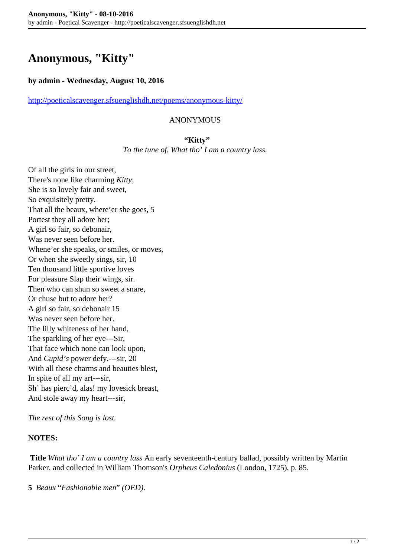# **Anonymous, "Kitty"**

## **by admin - Wednesday, August 10, 2016**

<http://poeticalscavenger.sfsuenglishdh.net/poems/anonymous-kitty/>

## **ANONYMOUS**

### **"Kitty"**

*To the tune of, What tho' I am a country lass.*

Of all the girls in our street, There's none like charming *Kitty*; She is so lovely fair and sweet, So exquisitely pretty. That all the beaux, where'er she goes, 5 Portest they all adore her; A girl so fair, so debonair, Was never seen before her. Whene'er she speaks, or smiles, or moves, Or when she sweetly sings, sir, 10 Ten thousand little sportive loves For pleasure Slap their wings, sir. Then who can shun so sweet a snare, Or chuse but to adore her? A girl so fair, so debonair 15 Was never seen before her. The lilly whiteness of her hand, The sparkling of her eye---Sir, That face which none can look upon, And *Cupid's* power defy,---sir, 20 With all these charms and beauties blest, In spite of all my art---sir, Sh' has pierc'd, alas! my lovesick breast, And stole away my heart---sir,

*The rest of this Song is lost.*

### **NOTES:**

**Title** *What tho' I am a country lass* An early seventeenth-century ballad, possibly written by Martin Parker, and collected in William Thomson's *Orpheus Caledonius* (London, 1725), p. 85.

**5** *Beaux* "*Fashionable men*" *(OED)*.